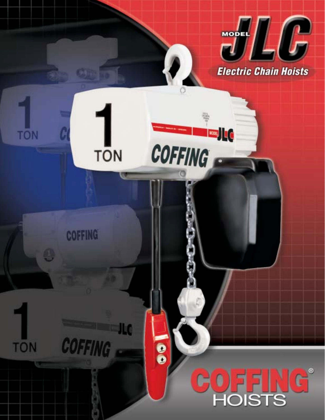

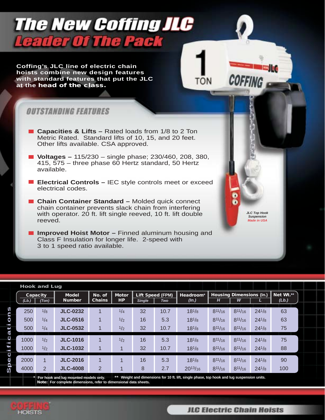## **The New Coffing JLC Leader Of The Pack**

**Coffing's JLC line of electric chain hoists combine new design features with standard features that put the JLC at the head of the class.**

### *OUTSTANDING FEATURES*

- **Capacities & Lifts –** Rated loads from 1/8 to 2 Ton Metric Rated. Standard lifts of 10, 15, and 20 feet. Other lifts available. CSA approved.
- **Voltages –** 115/230 single phase; 230/460, 208, 380, 415, 575 – three phase 60 Hertz standard, 50 Hertz available.
- **Electrical Controls –** IEC style controls meet or exceed electrical codes.
- **Chain Container Standard –** Molded quick connect chain container prevents slack chain from interfering with operator. 20 ft. lift single reeved, 10 ft. lift double reeved.
- Improved Hoist Motor Finned aluminum housing and Class F Insulation for longer life. 2-speed with 3 to 1 speed ratio available.

| <b>Hook and Lug</b>                |          |                |                 |                         |                  |                         |            |              |                                 |                |            |           |  |
|------------------------------------|----------|----------------|-----------------|-------------------------|------------------|-------------------------|------------|--------------|---------------------------------|----------------|------------|-----------|--|
|                                    | Capacity |                | <b>Model</b>    | No. of<br><b>Motor</b>  |                  | <b>Lift Speed (FPM)</b> |            | Headroom*    | <b>Housing Dimensions (In.)</b> |                |            | Net Wt.** |  |
|                                    | (Lb.)    | (Ton)          | <b>Number</b>   | <b>Chains</b>           | <b>HP</b>        | <b>Single</b>           | <b>Two</b> | (ln.)        | н                               | w              |            | (Lb.)     |  |
| n                                  | 250      | 1/8            | <b>JLC-0232</b> |                         | 1/4              | 32                      | 10.7       | $18^{1/8}$   | $8^{11}/_{16}$                  | $8^{11}/16$    | $24^{1/8}$ | 63        |  |
| ▄<br>$\bullet$                     | 500      | 1/4            | <b>JLC-0516</b> | $\overline{A}$          | 1/2              | 16                      | 5.3        | $18^{1/8}$   | $8^{11/16}$                     | $8^{11/16}$    | $24^{1/8}$ | 63        |  |
| e                                  | 500      | 1/4            | <b>JLC-0532</b> |                         | 1/2              | 32                      | 10.7       | $18^{1}/8$   | $8^{11}/_{16}$                  | $8^{11}/_{16}$ | $24^{1/8}$ | 75        |  |
| $\mathbf C$                        | 1000     | 1/2            | <b>JLC-1016</b> | $\overline{\mathbf{A}}$ | 1/2              | 16                      | 5.3        | $18^{1/8}$   | $8^{11}/_{16}$                  | $8^{11}/16$    | $24^{1/8}$ | 75        |  |
| j<br>٣<br>$\overline{\phantom{0}}$ | 1000     | 1/2            | <b>JLC-1032</b> | 1                       |                  | 32                      | 10.7       | $18^{1/8}$   | $8^{11/16}$                     | $8^{11/16}$    | $24^{1/8}$ | 88        |  |
| $\mathbf o$<br>Φ                   | 2000     | $\overline{A}$ | <b>JLC-2016</b> | $\overline{\mathbf{A}}$ | $\boldsymbol{A}$ | 16                      | 5.3        | $18^{1}/8$   | $8^{11}/_{16}$                  | $8^{11}/16$    | $24^{1/8}$ | 90        |  |
| ௨<br>S                             | 4000     | $\overline{2}$ | <b>JLC-4008</b> | 2                       |                  | 8                       | 2.7        | $20^{13}/16$ | $8^{11}/_{16}$                  | $8^{11}/_{16}$ | $24^{1/8}$ | 100       |  |

**\* For hook and lug mounted models only. \*\* Weight and dimensions for 10 ft. lift, single phase, top hook and lug suspension units. Note: For complete dimensions, refer to dimensional data sheets.**



**JLC Top Hook Suspension Made in USA**

COFFING

TŌN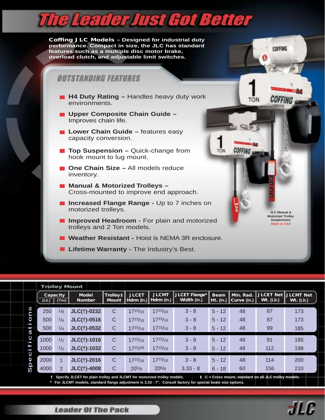# **The Leader Just Got Better**

**Coffing JLC Models – Designed for industrial duty performance. Compact in size, the JLC has standard features such as a multiple disc motor brake, overload clutch, and adjustable limit switches.**

#### *OUTSTANDING FEATURES*

- **H4 Duty Rating –** Handles heavy duty work environments.
- **Upper Composite Chain Guide –** Improves chain life.
- **Lower Chain Guide –** features easy capacity conversion.
- **Top Suspension –** Quick-change from hook mount to lug mount.
- One Chain Size All models reduce inventory.
- Manual & Motorized Trolleys Cross-mounted to improve end approach.
- **Increased Flange Range Up to 7 inches on** motorized trolleys.
- **Improved Headroom For plain and motorized** trolleys and 2 Ton models.
- **Weather Resistant -** Hoist is NEMA 3R enclosure.
- **Lifetime Warranty The Industry's Best.**

|                                    | <b>Trolley Mount</b>                                                                                                                         |     |                                                            |              |                                                          |              |                                                          |          |                          |             |                                          |  |
|------------------------------------|----------------------------------------------------------------------------------------------------------------------------------------------|-----|------------------------------------------------------------|--------------|----------------------------------------------------------|--------------|----------------------------------------------------------|----------|--------------------------|-------------|------------------------------------------|--|
|                                    | Capacity<br>(Lb.)<br>(Ton)                                                                                                                   |     | <b>Model</b><br>Trolley ‡<br><b>Number</b><br><b>Mount</b> |              | <b>JLCMT</b><br><b>JLCET</b><br>Hdrm (ln.)<br>Hdrm (In.) |              | JLCET Flange*<br><b>Beam</b><br>Width (ln.)<br>Ht. (In.) |          | Min. Rad.<br>Curve (In.) | $Wt.$ (Lb.) | <b>JLCET Net IJLCMT Net</b><br>Wt. (Lb.) |  |
| S<br>ņ                             | 250                                                                                                                                          | 1/8 | <b>JLC(†)-0232</b>                                         | С            | $17^{15}/16$                                             | $17^{15}/16$ | $3 - 8$                                                  | $5 - 12$ | 48                       | 87          | 173                                      |  |
| O                                  | 500                                                                                                                                          | 1/4 | JLC(†)-0516                                                | $\mathsf{C}$ | $17^{15}/16$                                             | $17^{15/16}$ | $3 - 8$                                                  | $5 - 12$ | 48                       | 87          | 173                                      |  |
| $\overline{\phantom{0}}$<br>t<br>5 | 500                                                                                                                                          | 1/4 | $JLC(+)$ -0532                                             | $\mathsf{C}$ | $17^{15}/16$                                             | $17^{15}/16$ | $3 - 8$                                                  | $5 - 12$ | 48                       | 99          | 185                                      |  |
| $\mathbf C$<br>$\blacksquare$      | 1000                                                                                                                                         | 1/2 | JLC(†)-1016                                                | C            | $17^{15/16}$                                             | $17^{15/16}$ | $3 - 8$                                                  | $5 - 12$ | 48                       | 91          | 185                                      |  |
| J<br>$\blacksquare$                | 1000                                                                                                                                         | 1/2 | <b>JLC(†)-1032</b>                                         | $\mathsf{C}$ | 1715/16                                                  | $17^{15/16}$ | $3 - 8$                                                  | $5 - 12$ | 48                       | 112         | 198                                      |  |
| $\mathbf \omega$<br>Q              | 2000                                                                                                                                         | 1   | <b>JLC(†)-2016</b>                                         | C            | $17^{15}/16$                                             | $17^{15/16}$ | $3 - 8$                                                  | $5 - 12$ | 48                       | 114         | 200                                      |  |
| q<br>S                             | 4000                                                                                                                                         | 2   | <b>JLC(†)-4008</b>                                         | $\mathsf{C}$ | $20^{5}/8$                                               | $20^{5}/8$   | $3.33 - 8$                                               | $6 - 18$ | 60                       | 156         | 210                                      |  |
|                                    | † Specify JLCET for plain trolley and JLCMT for motorized trolley models.<br>$\ddagger$ C = Cross mount, standard on all JLC trolley models. |     |                                                            |              |                                                          |              |                                                          |          |                          |             |                                          |  |

**\* For JLCMT models, standard flange adjustment is 3.33 - 7". Consult factory for special beam size options.**



**JLC Manual & Motorized Trolley Suspensions Made in USA**

COFFING

**COFFING** 

TON

**COFFING** 

TÔN

**Leader Of The Pack**